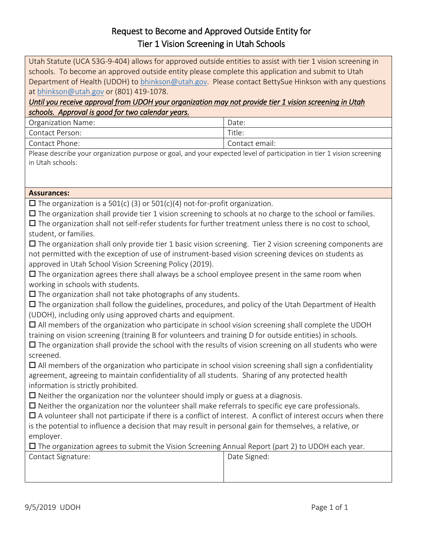## Request to Become and Approved Outside Entity for Tier 1 Vision Screening in Utah Schools

Utah Statute (UCA 53G-9-404) allows for approved outside entities to assist with tier 1 vision screening in schools. To become an approved outside entity please complete this application and submit to Utah Department of Health (UDOH) to [bhinkson@utah.gov.](mailto:bhinkson@utah.gov) Please contact BettySue Hinkson with any questions at [bhinkson@utah.gov](mailto:bhinkson@utah.gov) or (801) 419-1078.

## *Until you receive approval from UDOH your organization may not provide tier 1 vision screening in Utah schools. Approval is good for two calendar years.*

| <b>Organization Name:</b> | Date:          |
|---------------------------|----------------|
| Contact Person:           | Title:         |
| Contact Phone:            | Contact email: |

Please describe your organization purpose or goal, and your expected level of participation in tier 1 vision screening in Utah schools:

## **Assurances:**

 $\Box$  The organization is a 501(c) (3) or 501(c)(4) not-for-profit organization.

 $\Box$  The organization shall provide tier 1 vision screening to schools at no charge to the school or families.  $\Box$  The organization shall not self-refer students for further treatment unless there is no cost to school, student, or families.

 $\Box$  The organization shall only provide tier 1 basic vision screening. Tier 2 vision screening components are not permitted with the exception of use of instrument-based vision screening devices on students as approved in Utah School Vision Screening Policy (2019).

 $\square$  The organization agrees there shall always be a school employee present in the same room when working in schools with students.

 $\square$  The organization shall not take photographs of any students.

 $\Box$  The organization shall follow the guidelines, procedures, and policy of the Utah Department of Health (UDOH), including only using approved charts and equipment.

 $\Box$  All members of the organization who participate in school vision screening shall complete the UDOH training on vision screening (training B for volunteers and training D for outside entities) in schools.

 $\Box$  The organization shall provide the school with the results of vision screening on all students who were screened.

 $\Box$  All members of the organization who participate in school vision screening shall sign a confidentiality agreement, agreeing to maintain confidentiality of all students. Sharing of any protected health information is strictly prohibited.

 $\Box$  Neither the organization nor the volunteer should imply or guess at a diagnosis.

 $\Box$  Neither the organization nor the volunteer shall make referrals to specific eye care professionals.

 $\Box$  A volunteer shall not participate if there is a conflict of interest. A conflict of interest occurs when there is the potential to influence a decision that may result in personal gain for themselves, a relative, or employer.

 $\Box$  The organization agrees to submit the Vision Screening Annual Report (part 2) to UDOH each year.

| Date Signed:<br><b>Contact Signature:</b> |  |
|-------------------------------------------|--|
|                                           |  |